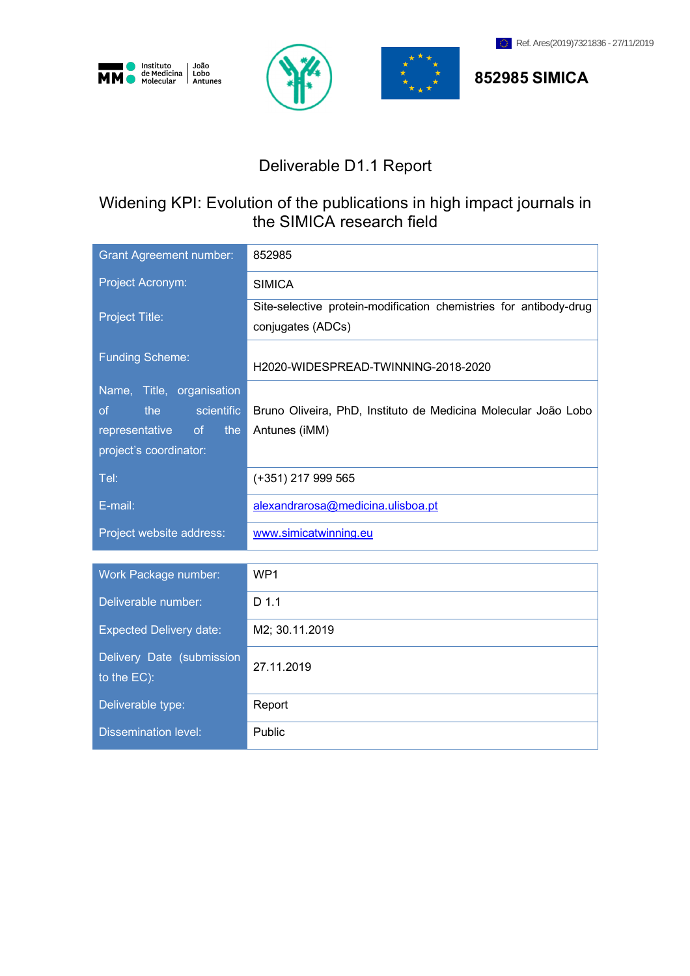







**852985 SIMICA**

# Deliverable D1.1 Report

# Widening KPI: Evolution of the publications in high impact journals in the SIMICA research field

| <b>Grant Agreement number:</b>                                                                                           | 852985                                                                                 |
|--------------------------------------------------------------------------------------------------------------------------|----------------------------------------------------------------------------------------|
| Project Acronym:                                                                                                         | <b>SIMICA</b>                                                                          |
| Project Title:                                                                                                           | Site-selective protein-modification chemistries for antibody-drug<br>conjugates (ADCs) |
| <b>Funding Scheme:</b>                                                                                                   | H2020-WIDESPREAD-TWINNING-2018-2020                                                    |
| Name, Title, organisation<br>scientific<br>the<br><sub>of</sub><br>representative<br>of<br>the<br>project's coordinator: | Bruno Oliveira, PhD, Instituto de Medicina Molecular João Lobo<br>Antunes (iMM)        |
| Tel:                                                                                                                     | (+351) 217 999 565                                                                     |
| E-mail:                                                                                                                  | alexandrarosa@medicina.ulisboa.pt                                                      |
| Project website address:                                                                                                 | www.simicatwinning.eu                                                                  |
| Work Package number:                                                                                                     | WP1                                                                                    |
| Deliverable number:                                                                                                      | $D$ 1.1                                                                                |
| <b>Expected Delivery date:</b>                                                                                           | M2; 30.11.2019                                                                         |
| Delivery Date (submission<br>to the EC):                                                                                 | 27.11.2019                                                                             |
| Deliverable type:                                                                                                        | Report                                                                                 |
| <b>Dissemination level:</b>                                                                                              | Public                                                                                 |